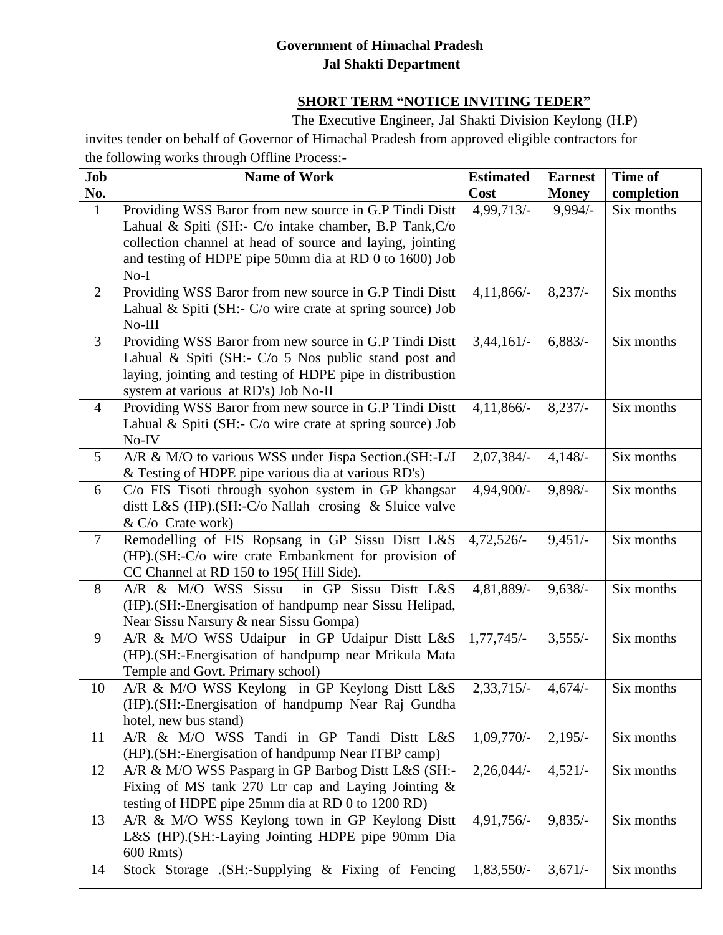## **Government of Himachal Pradesh Jal Shakti Department**

## **SHORT TERM "NOTICE INVITING TEDER"**

The Executive Engineer, Jal Shakti Division Keylong (H.P) invites tender on behalf of Governor of Himachal Pradesh from approved eligible contractors for the following works through Offline Process:-

| Job            | <b>Name of Work</b>                                                                                                 | <b>Estimated</b>         | <b>Earnest</b> | Time of                  |
|----------------|---------------------------------------------------------------------------------------------------------------------|--------------------------|----------------|--------------------------|
| No.            |                                                                                                                     | Cost                     | <b>Money</b>   | completion<br>Six months |
| $\mathbf{1}$   | Providing WSS Baror from new source in G.P Tindi Distt                                                              | 4,99,713/-               | $9,994/-$      |                          |
|                | Lahual & Spiti (SH:- C/o intake chamber, B.P Tank, C/o                                                              |                          |                |                          |
|                | collection channel at head of source and laying, jointing<br>and testing of HDPE pipe 50mm dia at RD 0 to 1600) Job |                          |                |                          |
|                | $No-I$                                                                                                              |                          |                |                          |
| $\overline{2}$ | Providing WSS Baror from new source in G.P Tindi Distt                                                              | $4,11,866/-$             | 8,237/         | Six months               |
|                | Lahual & Spiti (SH:- C/o wire crate at spring source) Job                                                           |                          |                |                          |
|                | $No-III$                                                                                                            |                          |                |                          |
| $\overline{3}$ | Providing WSS Baror from new source in G.P Tindi Distt                                                              | $3,44,161/-$             | 6,883/         | Six months               |
|                | Lahual & Spiti (SH:- $C/O$ 5 Nos public stand post and                                                              |                          |                |                          |
|                | laying, jointing and testing of HDPE pipe in distribustion                                                          |                          |                |                          |
|                | system at various at RD's) Job No-II                                                                                |                          |                |                          |
| $\overline{4}$ | Providing WSS Baror from new source in G.P Tindi Distt                                                              | $4,11,866/-$             | 8,237/         | Six months               |
|                | Lahual & Spiti (SH:- C/o wire crate at spring source) Job                                                           |                          |                |                          |
|                | No-IV                                                                                                               |                          |                |                          |
| 5 <sup>5</sup> | A/R & M/O to various WSS under Jispa Section. (SH:-L/J                                                              | $2,07,384/-$             | 4,148/         | Six months               |
|                | & Testing of HDPE pipe various dia at various RD's)                                                                 |                          |                |                          |
| 6              | C/o FIS Tisoti through syohon system in GP khangsar                                                                 | 4,94,900/-               | 9,898/-        | Six months               |
|                | dist L&S (HP). $(SH:-C/O$ Nallah crosing & Sluice valve                                                             |                          |                |                          |
|                | $& C$ C $'$ Crate work)                                                                                             |                          |                |                          |
| $\overline{7}$ | Remodelling of FIS Ropsang in GP Sissu Distt L&S                                                                    | $4,72,526/-$             | $9,451/-$      | Six months               |
|                | (HP).(SH:-C/o wire crate Embankment for provision of                                                                |                          |                |                          |
|                | CC Channel at RD 150 to 195(Hill Side).                                                                             |                          |                |                          |
| 8              | A/R & M/O WSS Sissu<br>in GP Sissu Distt L&S                                                                        | 4,81,889/-               | $9,638/-$      | Six months               |
|                | (HP). (SH:-Energisation of handpump near Sissu Helipad,                                                             |                          |                |                          |
|                | Near Sissu Narsury & near Sissu Gompa)                                                                              |                          |                |                          |
| 9              | A/R & M/O WSS Udaipur in GP Udaipur Distt L&S                                                                       | $1,77,745/-$             | $3,555/-$      | Six months               |
|                | (HP). (SH:-Energisation of handpump near Mrikula Mata                                                               |                          |                |                          |
|                | Temple and Govt. Primary school)                                                                                    |                          |                |                          |
| 10             | A/R & M/O WSS Keylong in GP Keylong Distt L&S                                                                       | $2,33,715/-$             | $4,674/-$      | Six months               |
|                | (HP). (SH:-Energisation of handpump Near Raj Gundha                                                                 |                          |                |                          |
|                | hotel, new bus stand)<br>A/R & M/O WSS Tandi in GP Tandi Distt L&S                                                  | $\overline{1,09,770}$ /- |                |                          |
| 11             | (HP).(SH:-Energisation of handpump Near ITBP camp)                                                                  |                          | $2,195/-$      | Six months               |
| 12             | A/R & M/O WSS Pasparg in GP Barbog Distt L&S (SH:-                                                                  | 2,26,044/                | $4,521/-$      | Six months               |
|                | Fixing of MS tank 270 Ltr cap and Laying Jointing $\&$                                                              |                          |                |                          |
|                | testing of HDPE pipe 25mm dia at RD 0 to 1200 RD)                                                                   |                          |                |                          |
| 13             | A/R & M/O WSS Keylong town in GP Keylong Distt                                                                      | 4,91,756/-               | $9,835/-$      | Six months               |
|                | L&S (HP).(SH:-Laying Jointing HDPE pipe 90mm Dia                                                                    |                          |                |                          |
|                | 600 Rmts)                                                                                                           |                          |                |                          |
| 14             | Stock Storage (SH:-Supplying & Fixing of Fencing                                                                    | 1,83,550/-               | $3,671/-$      | Six months               |
|                |                                                                                                                     |                          |                |                          |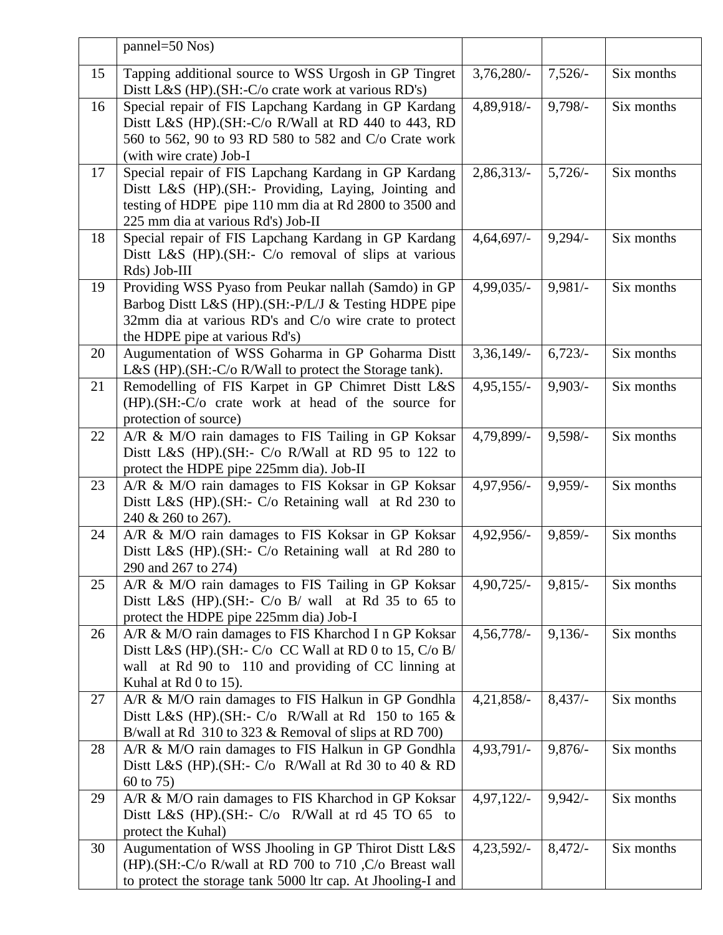|    | $pannel = 50 Nos)$                                                                                                                                                                                            |                         |            |            |
|----|---------------------------------------------------------------------------------------------------------------------------------------------------------------------------------------------------------------|-------------------------|------------|------------|
| 15 | Tapping additional source to WSS Urgosh in GP Tingret<br>Dist L&S (HP). (SH:-C/o crate work at various RD's)                                                                                                  | $3,76,280/-$            | $7,526/-$  | Six months |
| 16 | Special repair of FIS Lapchang Kardang in GP Kardang<br>Distt L&S (HP).(SH:-C/o R/Wall at RD 440 to 443, RD<br>560 to 562, 90 to 93 RD 580 to 582 and C/o Crate work<br>(with wire crate) Job-I               | 4,89,918/-              | $9,798/-$  | Six months |
| 17 | Special repair of FIS Lapchang Kardang in GP Kardang<br>Distt L&S (HP). (SH:- Providing, Laying, Jointing and<br>testing of HDPE pipe 110 mm dia at Rd 2800 to 3500 and<br>225 mm dia at various Rd's) Job-II | 2,86,313/               | $5,726/-$  | Six months |
| 18 | Special repair of FIS Lapchang Kardang in GP Kardang<br>Distt L&S (HP).(SH:- C/o removal of slips at various<br>Rds) Job-III                                                                                  | $4,64,697/-$            | $9,294/-$  | Six months |
| 19 | Providing WSS Pyaso from Peukar nallah (Samdo) in GP<br>Barbog Distt L&S (HP).(SH:-P/L/J & Testing HDPE pipe<br>32mm dia at various RD's and C/o wire crate to protect<br>the HDPE pipe at various Rd's)      | 4,99,035/-              | $9,981/-$  | Six months |
| 20 | Augumentation of WSS Goharma in GP Goharma Distt<br>L&S (HP). (SH:-C/o R/Wall to protect the Storage tank).                                                                                                   | 3,36,149/               | 6,723/     | Six months |
| 21 | Remodelling of FIS Karpet in GP Chimret Distt L&S<br>(HP).(SH:-C/o crate work at head of the source for<br>protection of source)                                                                              | $4,95,155/-$            | $9,903/-$  | Six months |
| 22 | A/R & M/O rain damages to FIS Tailing in GP Koksar<br>Dist L&S (HP). $(SH: C/O)$ R/Wall at RD 95 to 122 to<br>protect the HDPE pipe 225mm dia). Job-II                                                        | 4,79,899/-              | $9,598/-$  | Six months |
| 23 | A/R & M/O rain damages to FIS Koksar in GP Koksar<br>Dist L&S (HP). (SH:- C/o Retaining wall at Rd 230 to<br>240 & 260 to 267).                                                                               | 4,97,956/-              | $9,959/-$  | Six months |
| 24 | A/R & M/O rain damages to FIS Koksar in GP Koksar<br>Dist L&S (HP). (SH:- C/o Retaining wall at Rd 280 to<br>290 and 267 to 274)                                                                              | 4,92,956/-              | $9,859/$ - | Six months |
| 25 | A/R & M/O rain damages to FIS Tailing in GP Koksar<br>Dist L&S (HP). $(SH: C/O B / wall$ at Rd 35 to 65 to<br>protect the HDPE pipe 225mm dia) Job-I                                                          | $4,90,725/-$            | $9,815/-$  | Six months |
| 26 | A/R & M/O rain damages to FIS Kharchod I n GP Koksar<br>Dist L&S (HP). (SH:- $C/O$ CC Wall at RD 0 to 15, $C/O$ B/<br>wall at Rd 90 to 110 and providing of CC linning at<br>Kuhal at Rd 0 to 15).            | 4,56,778/-              | $9,136/-$  | Six months |
| 27 | A/R & M/O rain damages to FIS Halkun in GP Gondhla<br>Dist L&S (HP). (SH:- $C/O$ R/Wall at Rd 150 to 165 &<br>B/wall at Rd $310$ to 323 & Removal of slips at RD 700)                                         | 4,21,858/-              | 8,437/     | Six months |
| 28 | A/R & M/O rain damages to FIS Halkun in GP Gondhla<br>Dist L&S (HP). $(SH: C/O \ R/Wall$ at Rd 30 to 40 & RD<br>60 to 75)                                                                                     | $4,93,791$ <sup>-</sup> | $9,876/-$  | Six months |
| 29 | A/R & M/O rain damages to FIS Kharchod in GP Koksar<br>Dist L&S (HP). $(SH: C/O \ R/Wall$ at rd 45 TO 65 to<br>protect the Kuhal)                                                                             | $4,97,122/-$            | $9,942/-$  | Six months |
| 30 | Augumentation of WSS Jhooling in GP Thirot Distt L&S<br>(HP).(SH:-C/o R/wall at RD 700 to 710, C/o Breast wall<br>to protect the storage tank 5000 ltr cap. At Jhooling-I and                                 | 4,23,592/-              | $8,472/-$  | Six months |